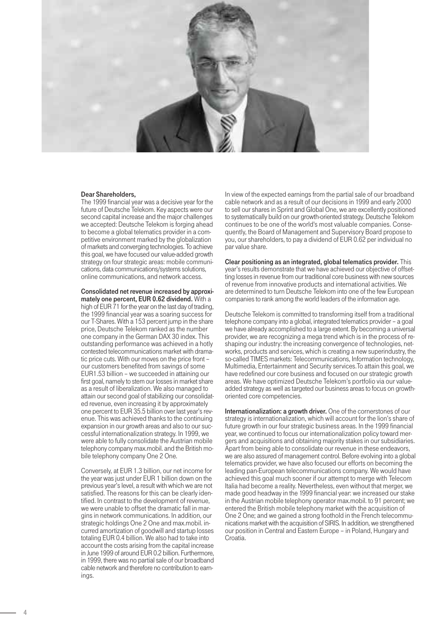

## Dear Shareholders,

The 1999 financial year was a decisive year for the future of Deutsche Telekom. Key aspects were our second capital increase and the major challenges we accepted: Deutsche Telekom is forging ahead to become a global telematics provider in a competitive environment marked by the globalization of markets and converging technologies. To achieve this goal, we have focused our value-added growth strategy on four strategic areas: mobile communications, data communications/systems solutions, online communications, and network access.

Consolidated net revenue increased by approxi-

mately one percent, EUR 0.62 dividend. With a high of EUR 71 for the year on the last day of trading, the 1999 financial year was a soaring success for our T-Shares. With a 153 percent jump in the share price, Deutsche Telekom ranked as the number one company in the German DAX 30 index. This outstanding performance was achieved in a hotly contested telecommunications market with dramatic price cuts. With our moves on the price front – our customers benefited from savings of some EUR1.53 billion – we succeeded in attaining our first goal, namely to stem our losses in market share as a result of liberalization. We also managed to attain our second goal of stabilizing our consolidated revenue, even increasing it by approximately one percent to EUR 35.5 billion over last year's revenue. This was achieved thanks to the continuing expansion in our growth areas and also to our successful internationalization strategy. In 1999, we were able to fully consolidate the Austrian mobile telephony company max.mobil. and the British mobile telephony company One 2 One.

Conversely, at EUR 1.3 billion, our net income for the year was just under EUR 1 billion down on the previous year's level, a result with which we are not satisfied. The reasons for this can be clearly identified. In contrast to the development of revenue, we were unable to offset the dramatic fall in margins in network communications. In addition, our strategic holdings One 2 One and max.mobil. incurred amortization of goodwill and startup losses totaling EUR 0.4 billion. We also had to take into account the costs arising from the capital increase in June 1999 of around EUR 0.2 billion. Furthermore, in 1999, there was no partial sale of our broadband cable network and therefore no contribution to earnings.

In view of the expected earnings from the partial sale of our broadband cable network and as a result of our decisions in 1999 and early 2000 to sell our shares in Sprint and Global One, we are excellently positioned to systematically build on our growth-oriented strategy. Deutsche Telekom continues to be one of the world's most valuable companies. Consequently, the Board of Management and Supervisory Board propose to you, our shareholders, to pay a dividend of EUR 0.62 per individual no par value share.

Clear positioning as an integrated, global telematics provider. This year's results demonstrate that we have achieved our objective of offsetting losses in revenue from our traditional core business with new sources of revenue from innovative products and international activities. We are determined to turn Deutsche Telekom into one of the few European companies to rank among the world leaders of the information age.

Deutsche Telekom is committed to transforming itself from a traditional telephone company into a global, integrated telematics provider – a goal we have already accomplished to a large extent. By becoming a universal provider, we are recognizing a mega trend which is in the process of reshaping our industry: the increasing convergence of technologies, networks, products and services, which is creating a new superindustry, the so-called TIMES markets: Telecommunications, Information technology, Multimedia, Entertainment and Security services.To attain this goal, we have redefined our core business and focused on our strategic growth areas. We have optimized Deutsche Telekom's portfolio via our valueadded strategy as well as targeted our business areas to focus on growthoriented core competencies.

Internationalization: a growth driver. One of the cornerstones of our strategy is internationalization, which will account for the lion's share of future growth in our four strategic business areas. In the 1999 financial year, we continued to focus our internationalization policy toward mergers and acquisitions and obtaining majority stakes in our subsidiaries. Apart from being able to consolidate our revenue in these endeavors, we are also assured of management control. Before evolving into a global telematics provider, we have also focused our efforts on becoming the leading pan-European telecommunications company. We would have achieved this goal much sooner if our attempt to merge with Telecom Italia had become a reality. Nevertheless, even without that merger, we made good headway in the 1999 financial year: we increased our stake in the Austrian mobile telephony operator max.mobil. to 91 percent; we entered the British mobile telephony market with the acquisition of One 2 One; and we gained a strong foothold in the French telecommunications market with the acquisition of SIRIS. In addition, we strengthened our position in Central and Eastern Europe – in Poland, Hungary and Croatia.